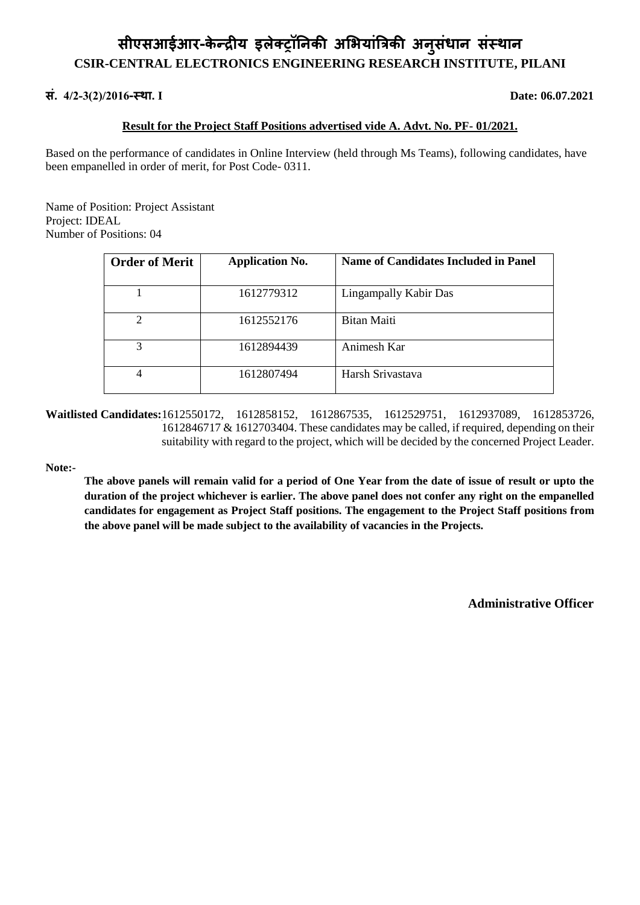# **सीएसआईआर-के न्द्रीय्इलेक्ट्रॉनिकी अभियात्रांिकी अिसु ांधाि सांस्थाि CSIR-CENTRAL ELECTRONICS ENGINEERING RESEARCH INSTITUTE, PILANI**

# **सां.्4/2-3(2)/2016-स्था. I Date: 06.07.2021**

## **Result for the Project Staff Positions advertised vide A. Advt. No. PF- 01/2021.**

Based on the performance of candidates in Online Interview (held through Ms Teams), following candidates, have been empanelled in order of merit, for Post Code- 0311.

Name of Position: Project Assistant Project: IDEAL Number of Positions: 04

| <b>Order of Merit</b>       | <b>Application No.</b> | Name of Candidates Included in Panel |
|-----------------------------|------------------------|--------------------------------------|
|                             | 1612779312             | Lingampally Kabir Das                |
| $\mathcal{D}_{\mathcal{L}}$ | 1612552176             | Bitan Maiti                          |
| 3                           | 1612894439             | Animesh Kar                          |
| 4                           | 1612807494             | Harsh Srivastava                     |

**Waitlisted Candidates:**1612550172, 1612858152, 1612867535, 1612529751, 1612937089, 1612853726, 1612846717 & 1612703404. These candidates may be called, if required, depending on their suitability with regard to the project, which will be decided by the concerned Project Leader.

### **Note:-**

**The above panels will remain valid for a period of One Year from the date of issue of result or upto the duration of the project whichever is earlier. The above panel does not confer any right on the empanelled candidates for engagement as Project Staff positions. The engagement to the Project Staff positions from the above panel will be made subject to the availability of vacancies in the Projects.** 

 **Administrative Officer**